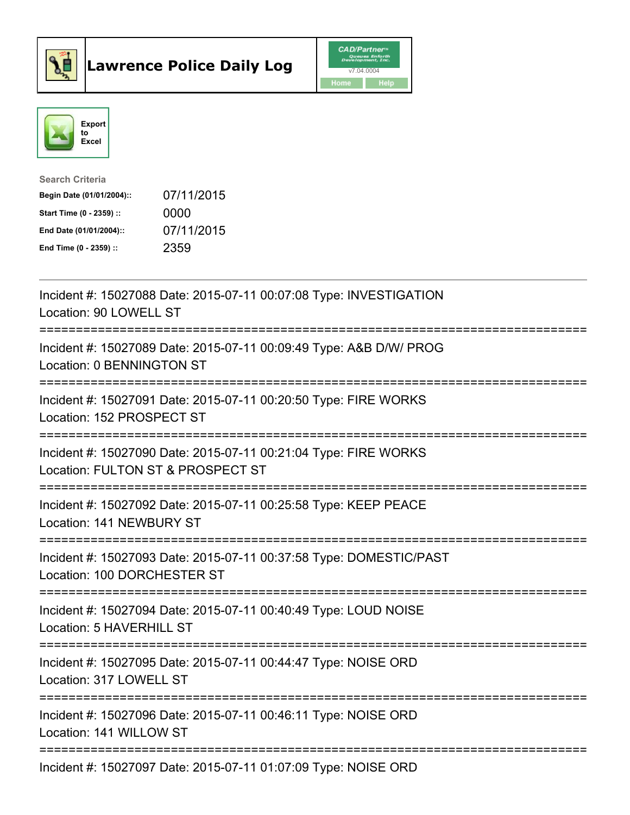



| <b>Search Criteria</b>    |            |
|---------------------------|------------|
| Begin Date (01/01/2004):: | 07/11/2015 |
| Start Time (0 - 2359) ::  | 0000       |
| End Date (01/01/2004)::   | 07/11/2015 |
| End Time $(0 - 2359)$ :   | 2359       |

| Incident #: 15027088 Date: 2015-07-11 00:07:08 Type: INVESTIGATION<br>Location: 90 LOWELL ST                       |
|--------------------------------------------------------------------------------------------------------------------|
| Incident #: 15027089 Date: 2015-07-11 00:09:49 Type: A&B D/W/ PROG<br>Location: 0 BENNINGTON ST<br>-----------     |
| Incident #: 15027091 Date: 2015-07-11 00:20:50 Type: FIRE WORKS<br>Location: 152 PROSPECT ST<br>============       |
| Incident #: 15027090 Date: 2015-07-11 00:21:04 Type: FIRE WORKS<br>Location: FULTON ST & PROSPECT ST               |
| Incident #: 15027092 Date: 2015-07-11 00:25:58 Type: KEEP PEACE<br>Location: 141 NEWBURY ST                        |
| Incident #: 15027093 Date: 2015-07-11 00:37:58 Type: DOMESTIC/PAST<br>Location: 100 DORCHESTER ST                  |
| Incident #: 15027094 Date: 2015-07-11 00:40:49 Type: LOUD NOISE<br>Location: 5 HAVERHILL ST<br>:================== |
| Incident #: 15027095 Date: 2015-07-11 00:44:47 Type: NOISE ORD<br>Location: 317 LOWELL ST<br>==============        |
| Incident #: 15027096 Date: 2015-07-11 00:46:11 Type: NOISE ORD<br>Location: 141 WILLOW ST                          |
| Incident #: 15027097 Date: 2015-07-11 01:07:09 Type: NOISE ORD                                                     |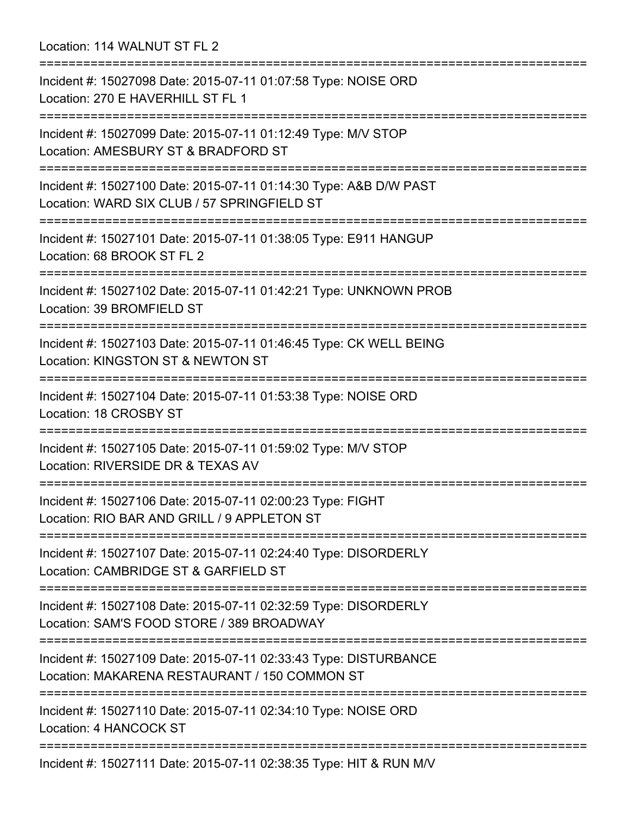Location: 114 WALNUT ST FL 2

=========================================================================== Incident #: 15027098 Date: 2015-07-11 01:07:58 Type: NOISE ORD Location: 270 E HAVERHILL ST FL 1 =========================================================================== Incident #: 15027099 Date: 2015-07-11 01:12:49 Type: M/V STOP Location: AMESBURY ST & BRADFORD ST =========================================================================== Incident #: 15027100 Date: 2015-07-11 01:14:30 Type: A&B D/W PAST Location: WARD SIX CLUB / 57 SPRINGFIELD ST =========================================================================== Incident #: 15027101 Date: 2015-07-11 01:38:05 Type: E911 HANGUP Location: 68 BROOK ST FL 2 =========================================================================== Incident #: 15027102 Date: 2015-07-11 01:42:21 Type: UNKNOWN PROB Location: 39 BROMFIELD ST =========================================================================== Incident #: 15027103 Date: 2015-07-11 01:46:45 Type: CK WELL BEING Location: KINGSTON ST & NEWTON ST =========================================================================== Incident #: 15027104 Date: 2015-07-11 01:53:38 Type: NOISE ORD Location: 18 CROSBY ST =========================================================================== Incident #: 15027105 Date: 2015-07-11 01:59:02 Type: M/V STOP Location: RIVERSIDE DR & TEXAS AV =========================================================================== Incident #: 15027106 Date: 2015-07-11 02:00:23 Type: FIGHT Location: RIO BAR AND GRILL / 9 APPLETON ST =========================================================================== Incident #: 15027107 Date: 2015-07-11 02:24:40 Type: DISORDERLY Location: CAMBRIDGE ST & GARFIELD ST =========================================================================== Incident #: 15027108 Date: 2015-07-11 02:32:59 Type: DISORDERLY Location: SAM'S FOOD STORE / 389 BROADWAY =========================================================================== Incident #: 15027109 Date: 2015-07-11 02:33:43 Type: DISTURBANCE Location: MAKARENA RESTAURANT / 150 COMMON ST =========================================================================== Incident #: 15027110 Date: 2015-07-11 02:34:10 Type: NOISE ORD Location: 4 HANCOCK ST =========================================================================== Incident #: 15027111 Date: 2015-07-11 02:38:35 Type: HIT & RUN M/V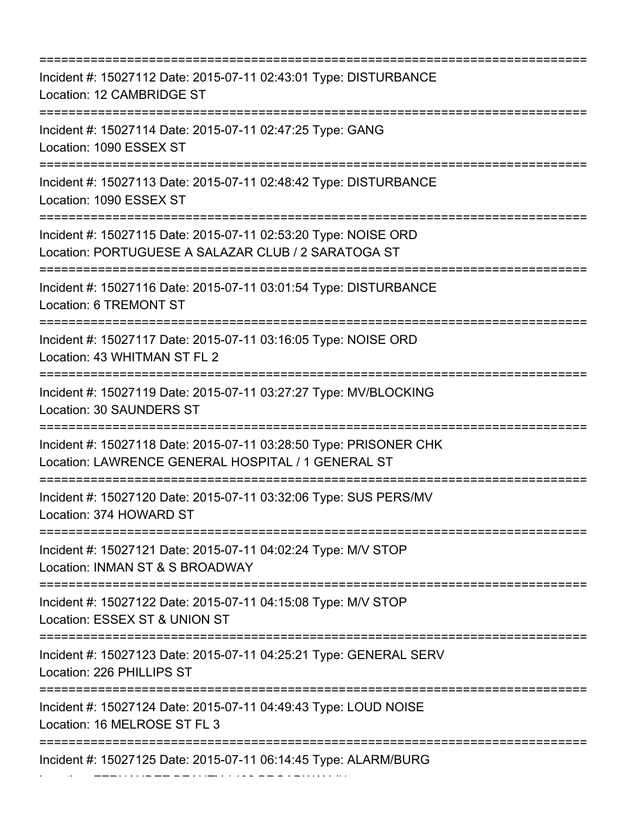| Incident #: 15027112 Date: 2015-07-11 02:43:01 Type: DISTURBANCE<br>Location: 12 CAMBRIDGE ST                                                               |
|-------------------------------------------------------------------------------------------------------------------------------------------------------------|
| Incident #: 15027114 Date: 2015-07-11 02:47:25 Type: GANG<br>Location: 1090 ESSEX ST                                                                        |
| Incident #: 15027113 Date: 2015-07-11 02:48:42 Type: DISTURBANCE<br>Location: 1090 ESSEX ST                                                                 |
| Incident #: 15027115 Date: 2015-07-11 02:53:20 Type: NOISE ORD<br>Location: PORTUGUESE A SALAZAR CLUB / 2 SARATOGA ST<br>---------------------------------- |
| Incident #: 15027116 Date: 2015-07-11 03:01:54 Type: DISTURBANCE<br>Location: 6 TREMONT ST                                                                  |
| Incident #: 15027117 Date: 2015-07-11 03:16:05 Type: NOISE ORD<br>Location: 43 WHITMAN ST FL 2<br>-----------------                                         |
| Incident #: 15027119 Date: 2015-07-11 03:27:27 Type: MV/BLOCKING<br>Location: 30 SAUNDERS ST                                                                |
| Incident #: 15027118 Date: 2015-07-11 03:28:50 Type: PRISONER CHK<br>Location: LAWRENCE GENERAL HOSPITAL / 1 GENERAL ST                                     |
| Incident #: 15027120 Date: 2015-07-11 03:32:06 Type: SUS PERS/MV<br>Location: 374 HOWARD ST                                                                 |
| -----------------<br>Incident #: 15027121 Date: 2015-07-11 04:02:24 Type: M/V STOP<br>Location: INMAN ST & S BROADWAY                                       |
| ==============================<br>Incident #: 15027122 Date: 2015-07-11 04:15:08 Type: M/V STOP<br>Location: ESSEX ST & UNION ST                            |
| Incident #: 15027123 Date: 2015-07-11 04:25:21 Type: GENERAL SERV<br>Location: 226 PHILLIPS ST                                                              |
| Incident #: 15027124 Date: 2015-07-11 04:49:43 Type: LOUD NOISE<br>Location: 16 MELROSE ST FL 3                                                             |
| Incident #: 15027125 Date: 2015-07-11 06:14:45 Type: ALARM/BURG                                                                                             |

Location: FERNANDEZ BEAUTY / 402 BROADWAY #1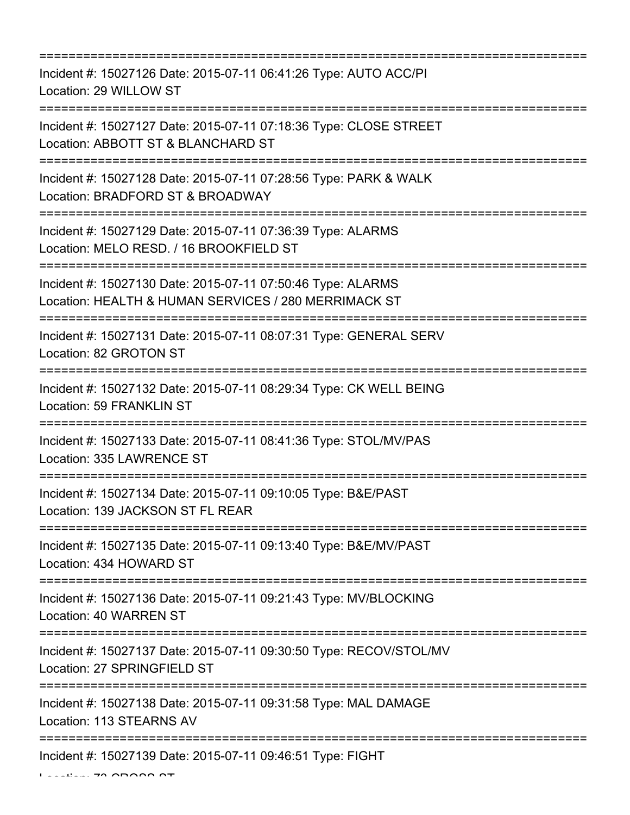=========================================================================== Incident #: 15027126 Date: 2015-07-11 06:41:26 Type: AUTO ACC/PI Location: 29 WILLOW ST =========================================================================== Incident #: 15027127 Date: 2015-07-11 07:18:36 Type: CLOSE STREET Location: ABBOTT ST & BLANCHARD ST =========================================================================== Incident #: 15027128 Date: 2015-07-11 07:28:56 Type: PARK & WALK Location: BRADFORD ST & BROADWAY =========================================================================== Incident #: 15027129 Date: 2015-07-11 07:36:39 Type: ALARMS Location: MELO RESD. / 16 BROOKFIELD ST =========================================================================== Incident #: 15027130 Date: 2015-07-11 07:50:46 Type: ALARMS Location: HEALTH & HUMAN SERVICES / 280 MERRIMACK ST =========================================================================== Incident #: 15027131 Date: 2015-07-11 08:07:31 Type: GENERAL SERV Location: 82 GROTON ST =========================================================================== Incident #: 15027132 Date: 2015-07-11 08:29:34 Type: CK WELL BEING Location: 59 FRANKLIN ST =========================================================================== Incident #: 15027133 Date: 2015-07-11 08:41:36 Type: STOL/MV/PAS Location: 335 LAWRENCE ST =========================================================================== Incident #: 15027134 Date: 2015-07-11 09:10:05 Type: B&E/PAST Location: 139 JACKSON ST FL REAR =========================================================================== Incident #: 15027135 Date: 2015-07-11 09:13:40 Type: B&E/MV/PAST Location: 434 HOWARD ST =========================================================================== Incident #: 15027136 Date: 2015-07-11 09:21:43 Type: MV/BLOCKING Location: 40 WARREN ST =========================================================================== Incident #: 15027137 Date: 2015-07-11 09:30:50 Type: RECOV/STOL/MV Location: 27 SPRINGFIELD ST =========================================================================== Incident #: 15027138 Date: 2015-07-11 09:31:58 Type: MAL DAMAGE Location: 113 STEARNS AV =========================================================================== Incident #: 15027139 Date: 2015-07-11 09:46:51 Type: FIGHT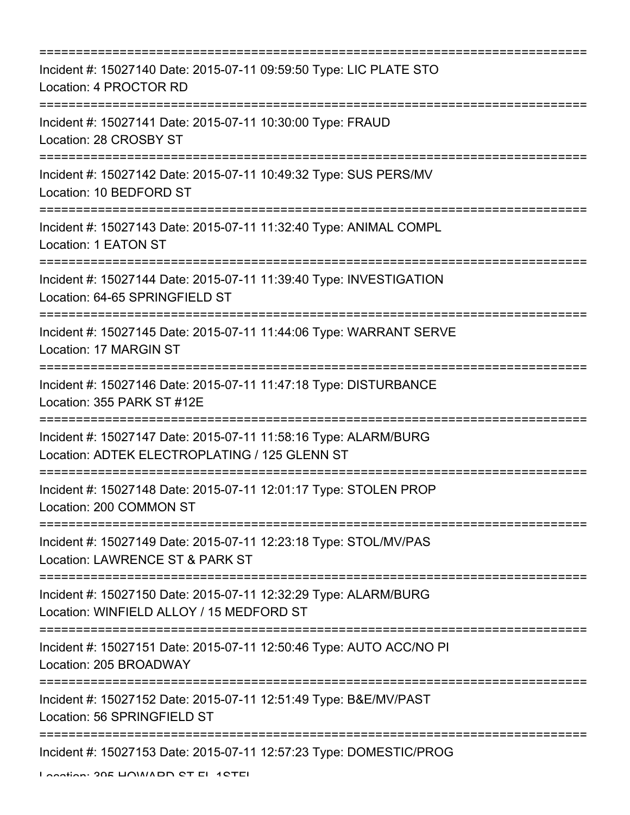| Incident #: 15027140 Date: 2015-07-11 09:59:50 Type: LIC PLATE STO<br>Location: 4 PROCTOR RD                                                      |
|---------------------------------------------------------------------------------------------------------------------------------------------------|
| Incident #: 15027141 Date: 2015-07-11 10:30:00 Type: FRAUD<br>Location: 28 CROSBY ST                                                              |
| Incident #: 15027142 Date: 2015-07-11 10:49:32 Type: SUS PERS/MV<br>Location: 10 BEDFORD ST                                                       |
| Incident #: 15027143 Date: 2015-07-11 11:32:40 Type: ANIMAL COMPL<br>Location: 1 EATON ST                                                         |
| Incident #: 15027144 Date: 2015-07-11 11:39:40 Type: INVESTIGATION<br>Location: 64-65 SPRINGFIELD ST                                              |
| Incident #: 15027145 Date: 2015-07-11 11:44:06 Type: WARRANT SERVE<br>Location: 17 MARGIN ST                                                      |
| Incident #: 15027146 Date: 2015-07-11 11:47:18 Type: DISTURBANCE<br>Location: 355 PARK ST #12E<br>======================================          |
| Incident #: 15027147 Date: 2015-07-11 11:58:16 Type: ALARM/BURG<br>Location: ADTEK ELECTROPLATING / 125 GLENN ST                                  |
| Incident #: 15027148 Date: 2015-07-11 12:01:17 Type: STOLEN PROP<br>Location: 200 COMMON ST                                                       |
| Incident #: 15027149 Date: 2015-07-11 12:23:18 Type: STOL/MV/PAS<br>Location: LAWRENCE ST & PARK ST                                               |
| Incident #: 15027150 Date: 2015-07-11 12:32:29 Type: ALARM/BURG<br>Location: WINFIELD ALLOY / 15 MEDFORD ST<br>.--------------------------------- |
| Incident #: 15027151 Date: 2015-07-11 12:50:46 Type: AUTO ACC/NO PI<br>Location: 205 BROADWAY                                                     |
| Incident #: 15027152 Date: 2015-07-11 12:51:49 Type: B&E/MV/PAST<br>Location: 56 SPRINGFIELD ST                                                   |
| Incident #: 15027153 Date: 2015-07-11 12:57:23 Type: DOMESTIC/PROG                                                                                |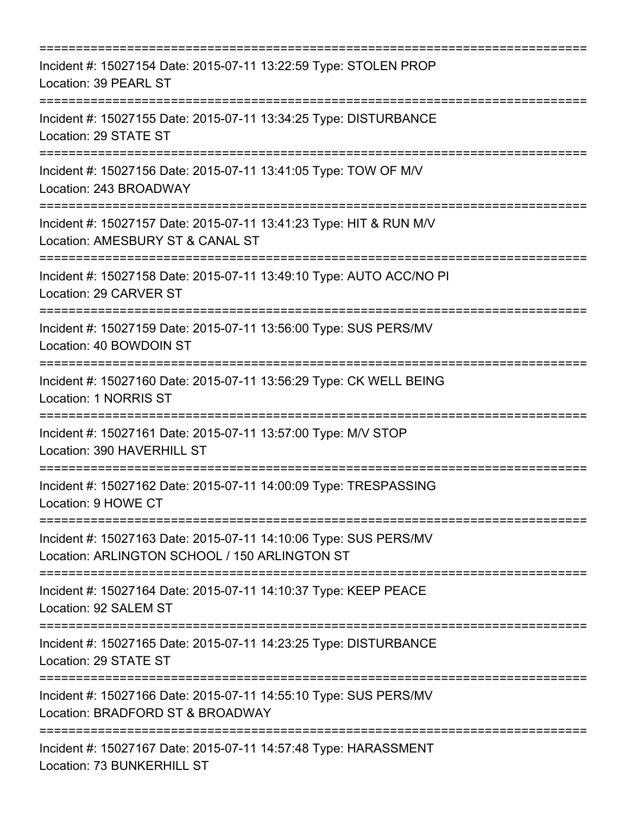| Incident #: 15027154 Date: 2015-07-11 13:22:59 Type: STOLEN PROP<br>Location: 39 PEARL ST                                                                                       |
|---------------------------------------------------------------------------------------------------------------------------------------------------------------------------------|
| Incident #: 15027155 Date: 2015-07-11 13:34:25 Type: DISTURBANCE<br>Location: 29 STATE ST                                                                                       |
| Incident #: 15027156 Date: 2015-07-11 13:41:05 Type: TOW OF M/V<br>Location: 243 BROADWAY<br>-----------------------------                                                      |
| Incident #: 15027157 Date: 2015-07-11 13:41:23 Type: HIT & RUN M/V<br>Location: AMESBURY ST & CANAL ST                                                                          |
| Incident #: 15027158 Date: 2015-07-11 13:49:10 Type: AUTO ACC/NO PI<br>Location: 29 CARVER ST                                                                                   |
| Incident #: 15027159 Date: 2015-07-11 13:56:00 Type: SUS PERS/MV<br>Location: 40 BOWDOIN ST                                                                                     |
| Incident #: 15027160 Date: 2015-07-11 13:56:29 Type: CK WELL BEING<br>Location: 1 NORRIS ST                                                                                     |
| ===============================<br>Incident #: 15027161 Date: 2015-07-11 13:57:00 Type: M/V STOP<br>Location: 390 HAVERHILL ST                                                  |
| Incident #: 15027162 Date: 2015-07-11 14:00:09 Type: TRESPASSING<br>Location: 9 HOWE CT                                                                                         |
| ===============================<br>=======================<br>Incident #: 15027163 Date: 2015-07-11 14:10:06 Type: SUS PERS/MV<br>Location: ARLINGTON SCHOOL / 150 ARLINGTON ST |
| Incident #: 15027164 Date: 2015-07-11 14:10:37 Type: KEEP PEACE<br>Location: 92 SALEM ST                                                                                        |
| Incident #: 15027165 Date: 2015-07-11 14:23:25 Type: DISTURBANCE<br>Location: 29 STATE ST                                                                                       |
| Incident #: 15027166 Date: 2015-07-11 14:55:10 Type: SUS PERS/MV<br>Location: BRADFORD ST & BROADWAY                                                                            |
| Incident #: 15027167 Date: 2015-07-11 14:57:48 Type: HARASSMENT<br>Location: 73 BUNKERHILL ST                                                                                   |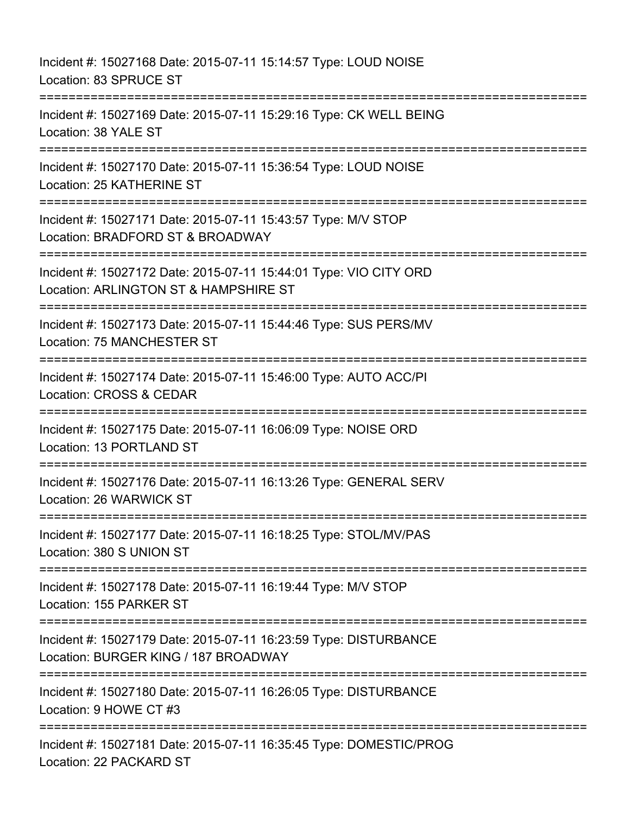Incident #: 15027168 Date: 2015-07-11 15:14:57 Type: LOUD NOISE Location: 83 SPRUCE ST =========================================================================== Incident #: 15027169 Date: 2015-07-11 15:29:16 Type: CK WELL BEING Location: 38 YALE ST =========================================================================== Incident #: 15027170 Date: 2015-07-11 15:36:54 Type: LOUD NOISE Location: 25 KATHERINE ST =========================================================================== Incident #: 15027171 Date: 2015-07-11 15:43:57 Type: M/V STOP Location: BRADFORD ST & BROADWAY =========================================================================== Incident #: 15027172 Date: 2015-07-11 15:44:01 Type: VIO CITY ORD Location: ARLINGTON ST & HAMPSHIRE ST ========================== Incident #: 15027173 Date: 2015-07-11 15:44:46 Type: SUS PERS/MV Location: 75 MANCHESTER ST =========================================================================== Incident #: 15027174 Date: 2015-07-11 15:46:00 Type: AUTO ACC/PI Location: CROSS & CEDAR =========================================================================== Incident #: 15027175 Date: 2015-07-11 16:06:09 Type: NOISE ORD Location: 13 PORTLAND ST =========================================================================== Incident #: 15027176 Date: 2015-07-11 16:13:26 Type: GENERAL SERV Location: 26 WARWICK ST =========================================================================== Incident #: 15027177 Date: 2015-07-11 16:18:25 Type: STOL/MV/PAS Location: 380 S UNION ST =========================================================================== Incident #: 15027178 Date: 2015-07-11 16:19:44 Type: M/V STOP Location: 155 PARKER ST =========================================================================== Incident #: 15027179 Date: 2015-07-11 16:23:59 Type: DISTURBANCE Location: BURGER KING / 187 BROADWAY =========================================================================== Incident #: 15027180 Date: 2015-07-11 16:26:05 Type: DISTURBANCE Location: 9 HOWE CT #3 ============================ Incident #: 15027181 Date: 2015-07-11 16:35:45 Type: DOMESTIC/PROG Location: 22 PACKARD ST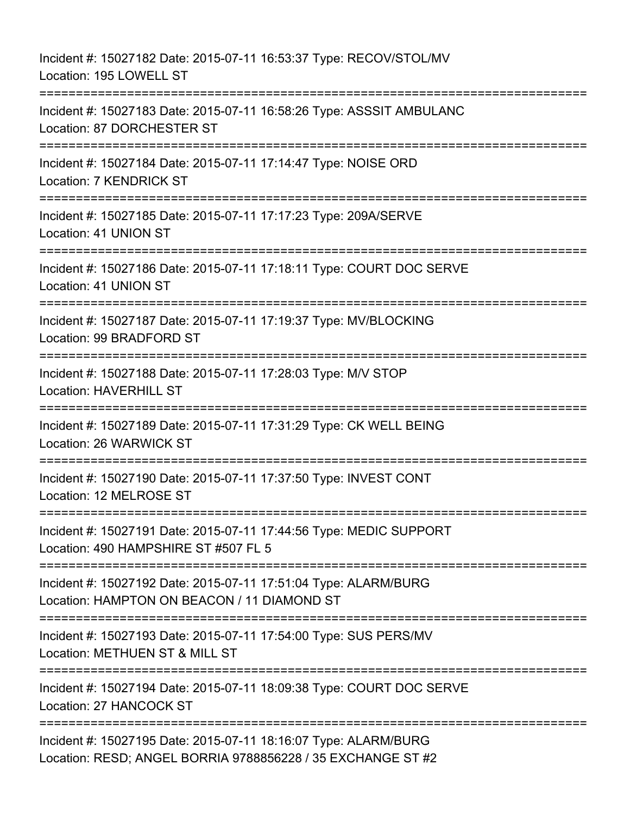Incident #: 15027182 Date: 2015-07-11 16:53:37 Type: RECOV/STOL/MV Location: 195 LOWELL ST =========================================================================== Incident #: 15027183 Date: 2015-07-11 16:58:26 Type: ASSSIT AMBULANC Location: 87 DORCHESTER ST =========================================================================== Incident #: 15027184 Date: 2015-07-11 17:14:47 Type: NOISE ORD Location: 7 KENDRICK ST =========================================================================== Incident #: 15027185 Date: 2015-07-11 17:17:23 Type: 209A/SERVE Location: 41 UNION ST =========================================================================== Incident #: 15027186 Date: 2015-07-11 17:18:11 Type: COURT DOC SERVE Location: 41 UNION ST =========================================================================== Incident #: 15027187 Date: 2015-07-11 17:19:37 Type: MV/BLOCKING Location: 99 BRADFORD ST =========================================================================== Incident #: 15027188 Date: 2015-07-11 17:28:03 Type: M/V STOP Location: HAVERHILL ST =========================================================================== Incident #: 15027189 Date: 2015-07-11 17:31:29 Type: CK WELL BEING Location: 26 WARWICK ST =========================================================================== Incident #: 15027190 Date: 2015-07-11 17:37:50 Type: INVEST CONT Location: 12 MELROSE ST =========================================================================== Incident #: 15027191 Date: 2015-07-11 17:44:56 Type: MEDIC SUPPORT Location: 490 HAMPSHIRE ST #507 FL 5 =========================================================================== Incident #: 15027192 Date: 2015-07-11 17:51:04 Type: ALARM/BURG Location: HAMPTON ON BEACON / 11 DIAMOND ST =========================================================================== Incident #: 15027193 Date: 2015-07-11 17:54:00 Type: SUS PERS/MV Location: METHUEN ST & MILL ST =========================================================================== Incident #: 15027194 Date: 2015-07-11 18:09:38 Type: COURT DOC SERVE Location: 27 HANCOCK ST =========================================================================== Incident #: 15027195 Date: 2015-07-11 18:16:07 Type: ALARM/BURG Location: RESD; ANGEL BORRIA 9788856228 / 35 EXCHANGE ST #2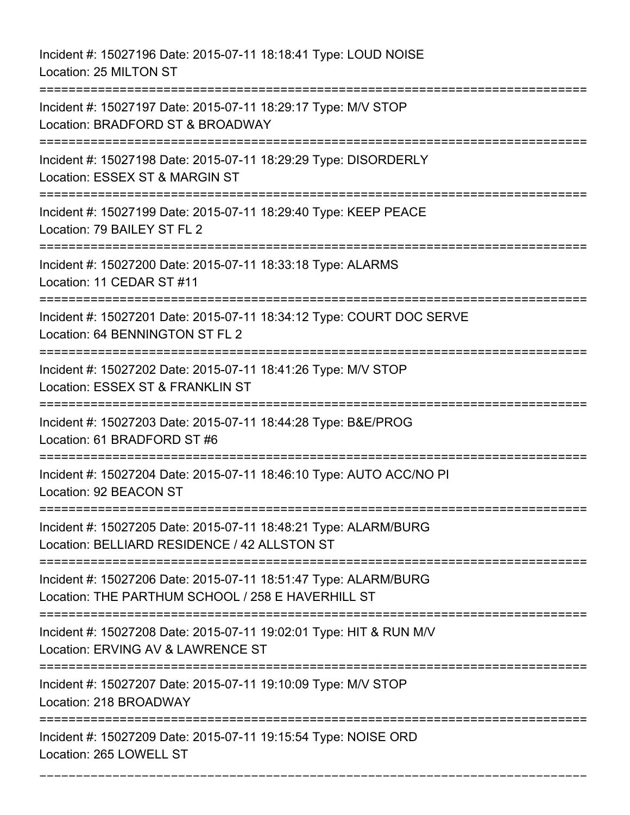Incident #: 15027196 Date: 2015-07-11 18:18:41 Type: LOUD NOISE Location: 25 MILTON ST =========================================================================== Incident #: 15027197 Date: 2015-07-11 18:29:17 Type: M/V STOP Location: BRADFORD ST & BROADWAY =========================================================================== Incident #: 15027198 Date: 2015-07-11 18:29:29 Type: DISORDERLY Location: ESSEX ST & MARGIN ST =========================================================================== Incident #: 15027199 Date: 2015-07-11 18:29:40 Type: KEEP PEACE Location: 79 BAILEY ST FL 2 =========================================================================== Incident #: 15027200 Date: 2015-07-11 18:33:18 Type: ALARMS Location: 11 CEDAR ST #11 =========================================================================== Incident #: 15027201 Date: 2015-07-11 18:34:12 Type: COURT DOC SERVE Location: 64 BENNINGTON ST FL 2 =========================================================================== Incident #: 15027202 Date: 2015-07-11 18:41:26 Type: M/V STOP Location: ESSEX ST & FRANKLIN ST =========================================================================== Incident #: 15027203 Date: 2015-07-11 18:44:28 Type: B&E/PROG Location: 61 BRADFORD ST #6 =========================================================================== Incident #: 15027204 Date: 2015-07-11 18:46:10 Type: AUTO ACC/NO PI Location: 92 BEACON ST =========================================================================== Incident #: 15027205 Date: 2015-07-11 18:48:21 Type: ALARM/BURG Location: BELLIARD RESIDENCE / 42 ALLSTON ST =========================================================================== Incident #: 15027206 Date: 2015-07-11 18:51:47 Type: ALARM/BURG Location: THE PARTHUM SCHOOL / 258 E HAVERHILL ST =========================================================================== Incident #: 15027208 Date: 2015-07-11 19:02:01 Type: HIT & RUN M/V Location: ERVING AV & LAWRENCE ST =========================================================================== Incident #: 15027207 Date: 2015-07-11 19:10:09 Type: M/V STOP Location: 218 BROADWAY =========================================================================== Incident #: 15027209 Date: 2015-07-11 19:15:54 Type: NOISE ORD Location: 265 LOWELL ST

===========================================================================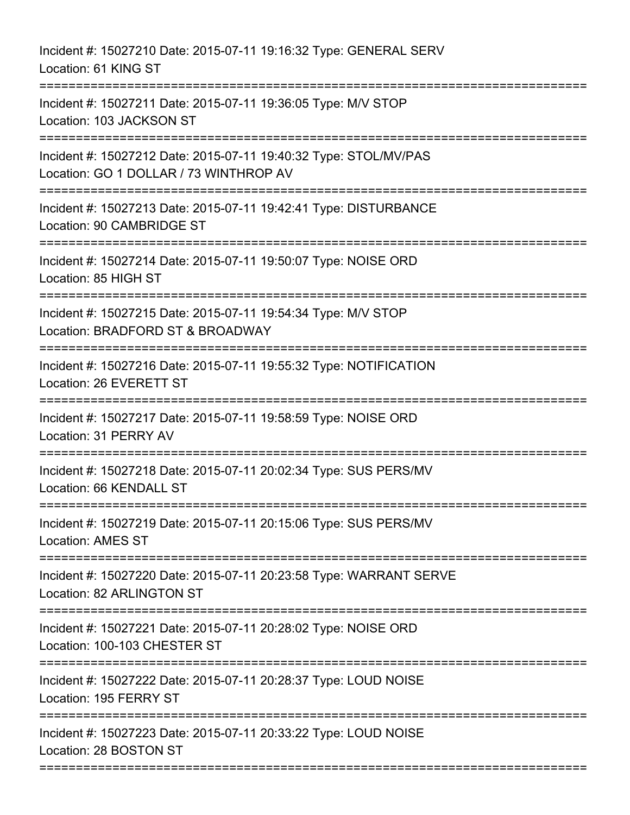Incident #: 15027210 Date: 2015-07-11 19:16:32 Type: GENERAL SERV Location: 61 KING ST =========================================================================== Incident #: 15027211 Date: 2015-07-11 19:36:05 Type: M/V STOP Location: 103 JACKSON ST =========================================================================== Incident #: 15027212 Date: 2015-07-11 19:40:32 Type: STOL/MV/PAS Location: GO 1 DOLLAR / 73 WINTHROP AV =========================================================================== Incident #: 15027213 Date: 2015-07-11 19:42:41 Type: DISTURBANCE Location: 90 CAMBRIDGE ST =========================================================================== Incident #: 15027214 Date: 2015-07-11 19:50:07 Type: NOISE ORD Location: 85 HIGH ST =========================================================================== Incident #: 15027215 Date: 2015-07-11 19:54:34 Type: M/V STOP Location: BRADFORD ST & BROADWAY =========================================================================== Incident #: 15027216 Date: 2015-07-11 19:55:32 Type: NOTIFICATION Location: 26 EVERETT ST =========================================================================== Incident #: 15027217 Date: 2015-07-11 19:58:59 Type: NOISE ORD Location: 31 PERRY AV =========================================================================== Incident #: 15027218 Date: 2015-07-11 20:02:34 Type: SUS PERS/MV Location: 66 KENDALL ST =========================================================================== Incident #: 15027219 Date: 2015-07-11 20:15:06 Type: SUS PERS/MV Location: AMES ST =========================================================================== Incident #: 15027220 Date: 2015-07-11 20:23:58 Type: WARRANT SERVE Location: 82 ARLINGTON ST =========================================================================== Incident #: 15027221 Date: 2015-07-11 20:28:02 Type: NOISE ORD Location: 100-103 CHESTER ST =========================================================================== Incident #: 15027222 Date: 2015-07-11 20:28:37 Type: LOUD NOISE Location: 195 FERRY ST =========================================================================== Incident #: 15027223 Date: 2015-07-11 20:33:22 Type: LOUD NOISE Location: 28 BOSTON ST ===========================================================================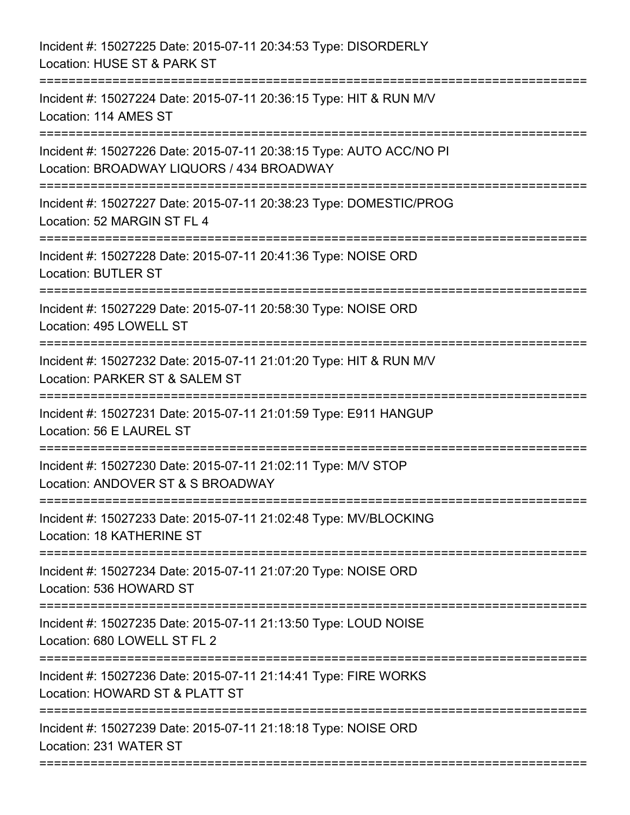| Incident #: 15027225 Date: 2015-07-11 20:34:53 Type: DISORDERLY<br>Location: HUSE ST & PARK ST                                                  |
|-------------------------------------------------------------------------------------------------------------------------------------------------|
| Incident #: 15027224 Date: 2015-07-11 20:36:15 Type: HIT & RUN M/V<br>Location: 114 AMES ST                                                     |
| Incident #: 15027226 Date: 2015-07-11 20:38:15 Type: AUTO ACC/NO PI<br>Location: BROADWAY LIQUORS / 434 BROADWAY<br>=========================== |
| Incident #: 15027227 Date: 2015-07-11 20:38:23 Type: DOMESTIC/PROG<br>Location: 52 MARGIN ST FL 4                                               |
| Incident #: 15027228 Date: 2015-07-11 20:41:36 Type: NOISE ORD<br><b>Location: BUTLER ST</b>                                                    |
| Incident #: 15027229 Date: 2015-07-11 20:58:30 Type: NOISE ORD<br>Location: 495 LOWELL ST                                                       |
| Incident #: 15027232 Date: 2015-07-11 21:01:20 Type: HIT & RUN M/V<br>Location: PARKER ST & SALEM ST                                            |
| Incident #: 15027231 Date: 2015-07-11 21:01:59 Type: E911 HANGUP<br>Location: 56 E LAUREL ST                                                    |
| Incident #: 15027230 Date: 2015-07-11 21:02:11 Type: M/V STOP<br>Location: ANDOVER ST & S BROADWAY                                              |
| Incident #: 15027233 Date: 2015-07-11 21:02:48 Type: MV/BLOCKING<br>Location: 18 KATHERINE ST                                                   |
| Incident #: 15027234 Date: 2015-07-11 21:07:20 Type: NOISE ORD<br>Location: 536 HOWARD ST                                                       |
| Incident #: 15027235 Date: 2015-07-11 21:13:50 Type: LOUD NOISE<br>Location: 680 LOWELL ST FL 2                                                 |
| Incident #: 15027236 Date: 2015-07-11 21:14:41 Type: FIRE WORKS<br>Location: HOWARD ST & PLATT ST                                               |
| Incident #: 15027239 Date: 2015-07-11 21:18:18 Type: NOISE ORD<br>Location: 231 WATER ST                                                        |
|                                                                                                                                                 |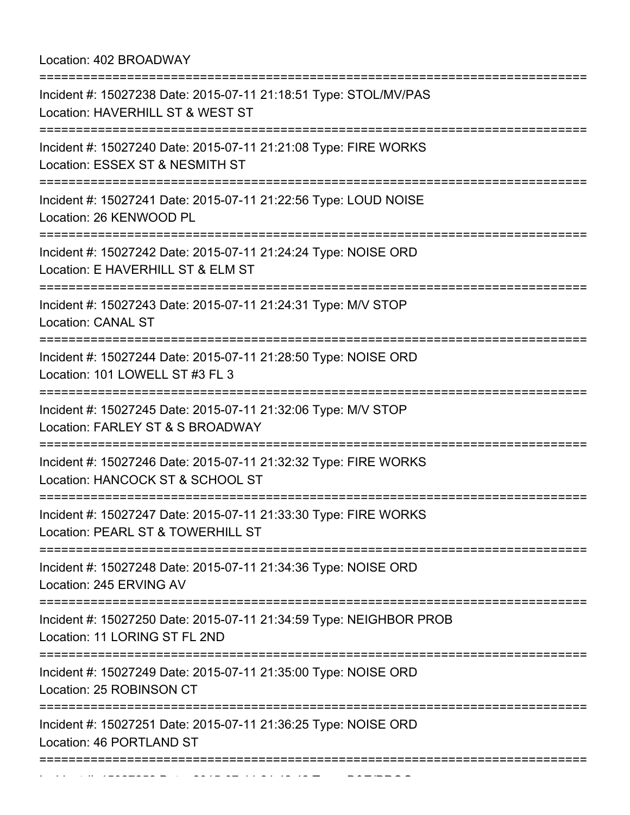Location: 402 BROADWAY

| Incident #: 15027238 Date: 2015-07-11 21:18:51 Type: STOL/MV/PAS<br>Location: HAVERHILL ST & WEST ST |
|------------------------------------------------------------------------------------------------------|
| Incident #: 15027240 Date: 2015-07-11 21:21:08 Type: FIRE WORKS<br>Location: ESSEX ST & NESMITH ST   |
| Incident #: 15027241 Date: 2015-07-11 21:22:56 Type: LOUD NOISE<br>Location: 26 KENWOOD PL           |
| Incident #: 15027242 Date: 2015-07-11 21:24:24 Type: NOISE ORD<br>Location: E HAVERHILL ST & ELM ST  |
| Incident #: 15027243 Date: 2015-07-11 21:24:31 Type: M/V STOP<br><b>Location: CANAL ST</b>           |
| Incident #: 15027244 Date: 2015-07-11 21:28:50 Type: NOISE ORD<br>Location: 101 LOWELL ST #3 FL 3    |
| Incident #: 15027245 Date: 2015-07-11 21:32:06 Type: M/V STOP<br>Location: FARLEY ST & S BROADWAY    |
| Incident #: 15027246 Date: 2015-07-11 21:32:32 Type: FIRE WORKS<br>Location: HANCOCK ST & SCHOOL ST  |
| Incident #: 15027247 Date: 2015-07-11 21:33:30 Type: FIRE WORKS<br>Location: PEARL ST & TOWERHILL ST |
| Incident #: 15027248 Date: 2015-07-11 21:34:36 Type: NOISE ORD<br>Location: 245 ERVING AV            |
| Incident #: 15027250 Date: 2015-07-11 21:34:59 Type: NEIGHBOR PROB<br>Location: 11 LORING ST FL 2ND  |
| Incident #: 15027249 Date: 2015-07-11 21:35:00 Type: NOISE ORD<br>Location: 25 ROBINSON CT           |
| Incident #: 15027251 Date: 2015-07-11 21:36:25 Type: NOISE ORD<br>Location: 46 PORTLAND ST           |
| :=============                                                                                       |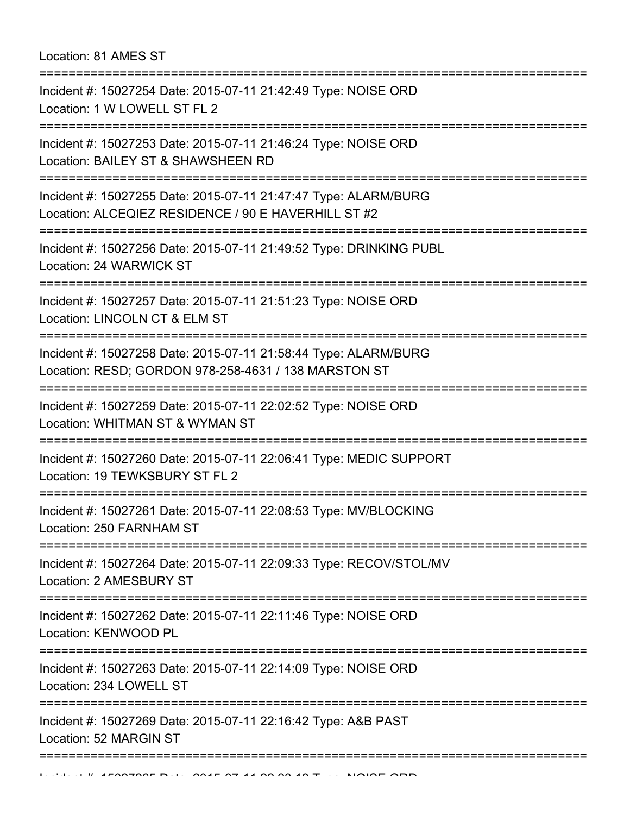| Location: 81 AMES ST |  |
|----------------------|--|
|----------------------|--|

| Incident #: 15027254 Date: 2015-07-11 21:42:49 Type: NOISE ORD<br>Location: 1 W LOWELL ST FL 2                                                         |
|--------------------------------------------------------------------------------------------------------------------------------------------------------|
| Incident #: 15027253 Date: 2015-07-11 21:46:24 Type: NOISE ORD<br>Location: BAILEY ST & SHAWSHEEN RD<br>========================                       |
| Incident #: 15027255 Date: 2015-07-11 21:47:47 Type: ALARM/BURG<br>Location: ALCEQIEZ RESIDENCE / 90 E HAVERHILL ST #2                                 |
| Incident #: 15027256 Date: 2015-07-11 21:49:52 Type: DRINKING PUBL<br>Location: 24 WARWICK ST                                                          |
| Incident #: 15027257 Date: 2015-07-11 21:51:23 Type: NOISE ORD<br>Location: LINCOLN CT & ELM ST                                                        |
| Incident #: 15027258 Date: 2015-07-11 21:58:44 Type: ALARM/BURG<br>Location: RESD; GORDON 978-258-4631 / 138 MARSTON ST<br>=========================== |
| Incident #: 15027259 Date: 2015-07-11 22:02:52 Type: NOISE ORD<br>Location: WHITMAN ST & WYMAN ST                                                      |
| Incident #: 15027260 Date: 2015-07-11 22:06:41 Type: MEDIC SUPPORT<br>Location: 19 TEWKSBURY ST FL 2                                                   |
| Incident #: 15027261 Date: 2015-07-11 22:08:53 Type: MV/BLOCKING<br>Location: 250 FARNHAM ST                                                           |
| Incident #: 15027264 Date: 2015-07-11 22:09:33 Type: RECOV/STOL/MV<br>Location: 2 AMESBURY ST                                                          |
| Incident #: 15027262 Date: 2015-07-11 22:11:46 Type: NOISE ORD<br>Location: KENWOOD PL                                                                 |
| Incident #: 15027263 Date: 2015-07-11 22:14:09 Type: NOISE ORD<br>Location: 234 LOWELL ST                                                              |
| Incident #: 15027269 Date: 2015-07-11 22:16:42 Type: A&B PAST<br>Location: 52 MARGIN ST                                                                |
|                                                                                                                                                        |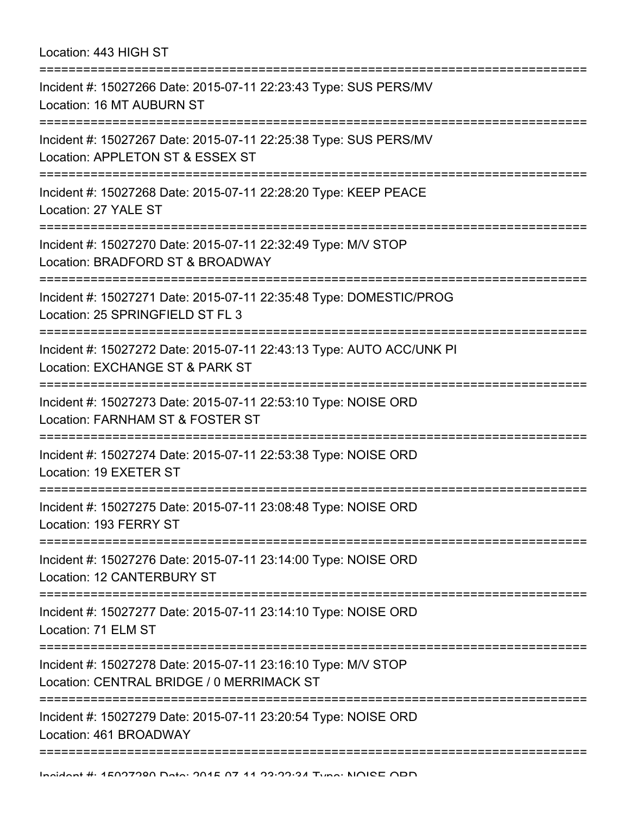| Location: 443 HIGH ST<br>=============                                                                                                         |
|------------------------------------------------------------------------------------------------------------------------------------------------|
| Incident #: 15027266 Date: 2015-07-11 22:23:43 Type: SUS PERS/MV<br>Location: 16 MT AUBURN ST<br>================================              |
| Incident #: 15027267 Date: 2015-07-11 22:25:38 Type: SUS PERS/MV<br>Location: APPLETON ST & ESSEX ST                                           |
| Incident #: 15027268 Date: 2015-07-11 22:28:20 Type: KEEP PEACE<br>Location: 27 YALE ST                                                        |
| Incident #: 15027270 Date: 2015-07-11 22:32:49 Type: M/V STOP<br>Location: BRADFORD ST & BROADWAY<br>:============================             |
| Incident #: 15027271 Date: 2015-07-11 22:35:48 Type: DOMESTIC/PROG<br>Location: 25 SPRINGFIELD ST FL 3                                         |
| Incident #: 15027272 Date: 2015-07-11 22:43:13 Type: AUTO ACC/UNK PI<br>Location: EXCHANGE ST & PARK ST                                        |
| Incident #: 15027273 Date: 2015-07-11 22:53:10 Type: NOISE ORD<br>Location: FARNHAM ST & FOSTER ST<br>---------------------                    |
| Incident #: 15027274 Date: 2015-07-11 22:53:38 Type: NOISE ORD<br>Location: 19 EXETER ST                                                       |
| Incident #: 15027275 Date: 2015-07-11 23:08:48 Type: NOISE ORD<br>Location: 193 FERRY ST                                                       |
| Incident #: 15027276 Date: 2015-07-11 23:14:00 Type: NOISE ORD<br>Location: 12 CANTERBURY ST                                                   |
| Incident #: 15027277 Date: 2015-07-11 23:14:10 Type: NOISE ORD<br>Location: 71 ELM ST                                                          |
| ================================<br>Incident #: 15027278 Date: 2015-07-11 23:16:10 Type: M/V STOP<br>Location: CENTRAL BRIDGE / 0 MERRIMACK ST |
| Incident #: 15027279 Date: 2015-07-11 23:20:54 Type: NOISE ORD<br>Location: 461 BROADWAY                                                       |
|                                                                                                                                                |